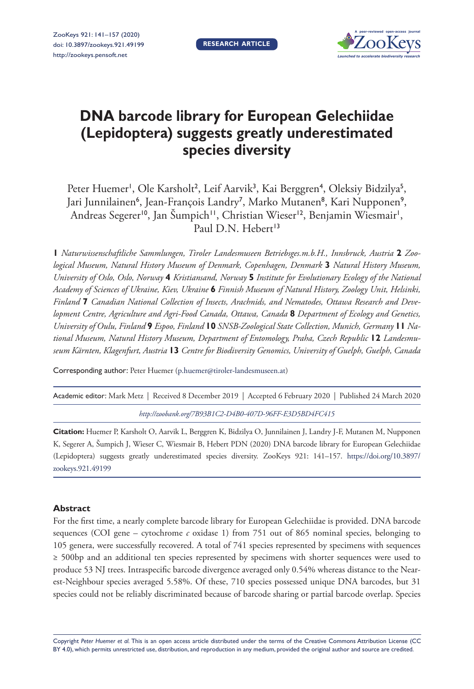

# **DNA barcode library for European Gelechiidae (Lepidoptera) suggests greatly underestimated species diversity**

Peter Huemer<sup>1</sup>, Ole Karsholt<sup>2</sup>, Leif Aarvik<sup>3</sup>, Kai Berggren<sup>4</sup>, Oleksiy Bidzilya<sup>5</sup>, Jari Junnilainen<sup>6</sup>, Jean-François Landry<sup>7</sup>, Marko Mutanen<sup>8</sup>, Kari Nupponen<sup>9</sup>, Andreas Segerer'<sup>0</sup>, Jan Šumpich'', Christian Wieser'<sup>2</sup>, Benjamin Wiesmair', Paul D.N. Hebert<sup>13</sup>

**1** *Naturwissenschaftliche Sammlungen, Tiroler Landesmuseen Betriebsges.m.b.H., Innsbruck, Austria* **2** *Zoological Museum, Natural History Museum of Denmark, Copenhagen, Denmark* **3** *Natural History Museum, University of Oslo, Oslo, Norway* **4** *Kristiansand, Norway* **5** *Institute for Evolutionary Ecology of the National Academy of Sciences of Ukraine, Kiev, Ukraine* **6** *Finnish Museum of Natural History, Zoology Unit, Helsinki, Finland* **7** *Canadian National Collection of Insects, Arachnids, and Nematodes, Ottawa Research and Development Centre, Agriculture and Agri-Food Canada, Ottawa, Canada* **8** *Department of Ecology and Genetics, University of Oulu, Finland* **9** *Espoo, Finland* **10** *SNSB-Zoological State Collection, Munich, Germany* **11** *National Museum, Natural History Museum, Department of Entomology, Praha, Czech Republic* **12** *Landesmuseum Kärnten, Klagenfurt, Austria* **13** *Centre for Biodiversity Genomics, University of Guelph, Guelph, Canada*

Corresponding author: Peter Huemer ([p.huemer@tiroler-landesmuseen.at\)](mailto:p.huemer@tiroler-landesmuseen.at)

Academic editor: Mark Metz | Received 8 December 2019 | Accepted 6 February 2020 | Published 24 March 2020

*<http://zoobank.org/7B93B1C2-D4B0-407D-96FF-E3D5BD4FC415>*

**Citation:** Huemer P, Karsholt O, Aarvik L, Berggren K, Bidzilya O, Junnilainen J, Landry J-F, Mutanen M, Nupponen K, Segerer A, Šumpich J, Wieser C, Wiesmair B, Hebert PDN (2020) DNA barcode library for European Gelechiidae (Lepidoptera) suggests greatly underestimated species diversity. ZooKeys 921: 141–157. [https://doi.org/10.3897/](https://doi.org/10.3897/zookeys.921.49199) [zookeys.921.49199](https://doi.org/10.3897/zookeys.921.49199)

#### **Abstract**

For the first time, a nearly complete barcode library for European Gelechiidae is provided. DNA barcode sequences (COI gene – cytochrome *c* oxidase 1) from 751 out of 865 nominal species, belonging to 105 genera, were successfully recovered. A total of 741 species represented by specimens with sequences ≥ 500bp and an additional ten species represented by specimens with shorter sequences were used to produce 53 NJ trees. Intraspecific barcode divergence averaged only 0.54% whereas distance to the Nearest-Neighbour species averaged 5.58%. Of these, 710 species possessed unique DNA barcodes, but 31 species could not be reliably discriminated because of barcode sharing or partial barcode overlap. Species

Copyright *Peter Huemer et al.* This is an open access article distributed under the terms of the [Creative Commons Attribution License \(CC](http://creativecommons.org/licenses/by/4.0/)  [BY 4.0\)](http://creativecommons.org/licenses/by/4.0/), which permits unrestricted use, distribution, and reproduction in any medium, provided the original author and source are credited.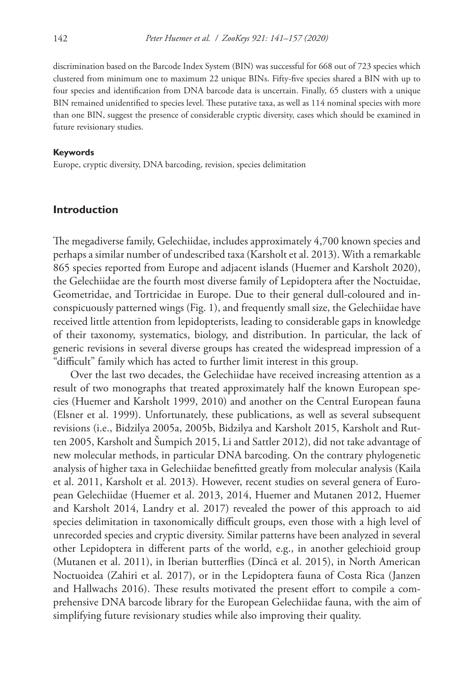discrimination based on the Barcode Index System (BIN) was successful for 668 out of 723 species which clustered from minimum one to maximum 22 unique BINs. Fifty-five species shared a BIN with up to four species and identification from DNA barcode data is uncertain. Finally, 65 clusters with a unique BIN remained unidentified to species level. These putative taxa, as well as 114 nominal species with more than one BIN, suggest the presence of considerable cryptic diversity, cases which should be examined in future revisionary studies.

#### **Keywords**

Europe, cryptic diversity, DNA barcoding, revision, species delimitation

### **Introduction**

The megadiverse family, Gelechiidae, includes approximately 4,700 known species and perhaps a similar number of undescribed taxa (Karsholt et al. 2013). With a remarkable 865 species reported from Europe and adjacent islands (Huemer and Karsholt 2020), the Gelechiidae are the fourth most diverse family of Lepidoptera after the Noctuidae, Geometridae, and Tortricidae in Europe. Due to their general dull-coloured and inconspicuously patterned wings (Fig. 1), and frequently small size, the Gelechiidae have received little attention from lepidopterists, leading to considerable gaps in knowledge of their taxonomy, systematics, biology, and distribution. In particular, the lack of generic revisions in several diverse groups has created the widespread impression of a "difficult" family which has acted to further limit interest in this group.

Over the last two decades, the Gelechiidae have received increasing attention as a result of two monographs that treated approximately half the known European species (Huemer and Karsholt 1999, 2010) and another on the Central European fauna (Elsner et al. 1999). Unfortunately, these publications, as well as several subsequent revisions (i.e., Bidzilya 2005a, 2005b, Bidzilya and Karsholt 2015, Karsholt and Rutten 2005, Karsholt and Šumpich 2015, Li and Sattler 2012), did not take advantage of new molecular methods, in particular DNA barcoding. On the contrary phylogenetic analysis of higher taxa in Gelechiidae benefitted greatly from molecular analysis (Kaila et al. 2011, Karsholt et al. 2013). However, recent studies on several genera of European Gelechiidae (Huemer et al. 2013, 2014, Huemer and Mutanen 2012, Huemer and Karsholt 2014, Landry et al. 2017) revealed the power of this approach to aid species delimitation in taxonomically difficult groups, even those with a high level of unrecorded species and cryptic diversity. Similar patterns have been analyzed in several other Lepidoptera in different parts of the world, e.g., in another gelechioid group (Mutanen et al. 2011), in Iberian butterflies (Dincă et al. 2015), in North American Noctuoidea (Zahiri et al. 2017), or in the Lepidoptera fauna of Costa Rica (Janzen and Hallwachs 2016). These results motivated the present effort to compile a comprehensive DNA barcode library for the European Gelechiidae fauna, with the aim of simplifying future revisionary studies while also improving their quality.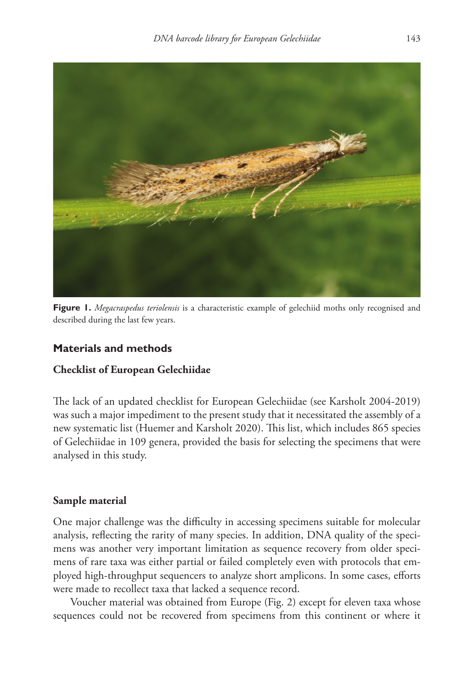

**Figure 1.** *Megacraspedus teriolensis* is a characteristic example of gelechiid moths only recognised and described during the last few years.

# **Materials and methods**

# **Checklist of European Gelechiidae**

The lack of an updated checklist for European Gelechiidae (see Karsholt 2004-2019) was such a major impediment to the present study that it necessitated the assembly of a new systematic list (Huemer and Karsholt 2020). This list, which includes 865 species of Gelechiidae in 109 genera, provided the basis for selecting the specimens that were analysed in this study.

# **Sample material**

One major challenge was the difficulty in accessing specimens suitable for molecular analysis, reflecting the rarity of many species. In addition, DNA quality of the specimens was another very important limitation as sequence recovery from older specimens of rare taxa was either partial or failed completely even with protocols that employed high-throughput sequencers to analyze short amplicons. In some cases, efforts were made to recollect taxa that lacked a sequence record.

Voucher material was obtained from Europe (Fig. 2) except for eleven taxa whose sequences could not be recovered from specimens from this continent or where it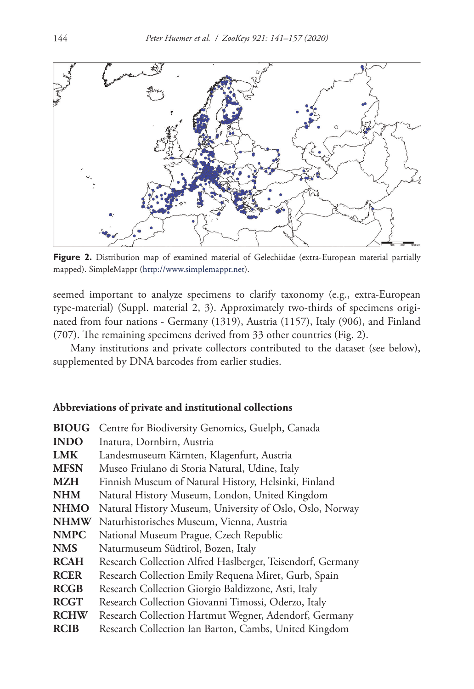

**Figure 2.** Distribution map of examined material of Gelechiidae (extra-European material partially mapped). SimpleMappr (<http://www.simplemappr.net>).

seemed important to analyze specimens to clarify taxonomy (e.g., extra-European type-material) (Suppl. material 2, 3). Approximately two-thirds of specimens originated from four nations - Germany (1319), Austria (1157), Italy (906), and Finland (707). The remaining specimens derived from 33 other countries (Fig. 2).

Many institutions and private collectors contributed to the dataset (see below), supplemented by DNA barcodes from earlier studies.

#### **Abbreviations of private and institutional collections**

| <b>BIOUG</b> | Centre for Biodiversity Genomics, Guelph, Canada           |  |  |
|--------------|------------------------------------------------------------|--|--|
| <b>INDO</b>  | Inatura, Dornbirn, Austria                                 |  |  |
| <b>LMK</b>   | Landesmuseum Kärnten, Klagenfurt, Austria                  |  |  |
| <b>MFSN</b>  | Museo Friulano di Storia Natural, Udine, Italy             |  |  |
| MZH          | Finnish Museum of Natural History, Helsinki, Finland       |  |  |
| <b>NHM</b>   | Natural History Museum, London, United Kingdom             |  |  |
| <b>NHMO</b>  | Natural History Museum, University of Oslo, Oslo, Norway   |  |  |
| <b>NHMW</b>  | Naturhistorisches Museum, Vienna, Austria                  |  |  |
| <b>NMPC</b>  | National Museum Prague, Czech Republic                     |  |  |
| <b>NMS</b>   | Naturmuseum Südtirol, Bozen, Italy                         |  |  |
| <b>RCAH</b>  | Research Collection Alfred Haslberger, Teisendorf, Germany |  |  |
| <b>RCER</b>  | Research Collection Emily Requena Miret, Gurb, Spain       |  |  |
| <b>RCGB</b>  | Research Collection Giorgio Baldizzone, Asti, Italy        |  |  |
| <b>RCGT</b>  | Research Collection Giovanni Timossi, Oderzo, Italy        |  |  |
| <b>RCHW</b>  | Research Collection Hartmut Wegner, Adendorf, Germany      |  |  |
| <b>RCIB</b>  | Research Collection Ian Barton, Cambs, United Kingdom      |  |  |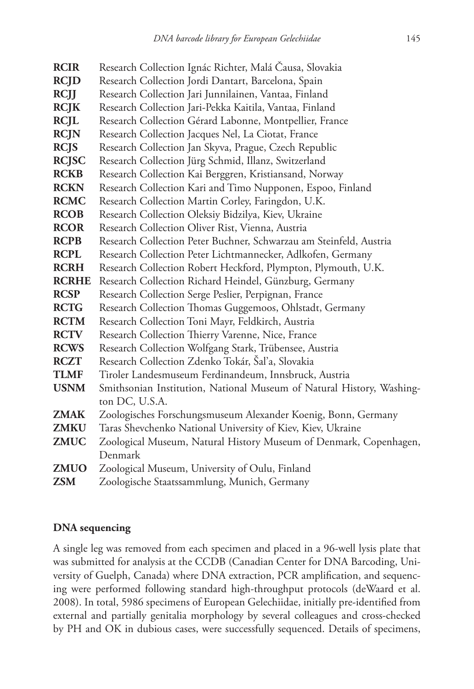| <b>RCIR</b>  | Research Collection Ignác Richter, Malá Čausa, Slovakia               |
|--------------|-----------------------------------------------------------------------|
| <b>RCJD</b>  | Research Collection Jordi Dantart, Barcelona, Spain                   |
| <b>RCJJ</b>  | Research Collection Jari Junnilainen, Vantaa, Finland                 |
| <b>RCJK</b>  | Research Collection Jari-Pekka Kaitila, Vantaa, Finland               |
| <b>RCJL</b>  | Research Collection Gérard Labonne, Montpellier, France               |
| <b>RCJN</b>  | Research Collection Jacques Nel, La Ciotat, France                    |
| <b>RCJS</b>  | Research Collection Jan Skyva, Prague, Czech Republic                 |
| <b>RCJSC</b> | Research Collection Jürg Schmid, Illanz, Switzerland                  |
| <b>RCKB</b>  | Research Collection Kai Berggren, Kristiansand, Norway                |
| <b>RCKN</b>  | Research Collection Kari and Timo Nupponen, Espoo, Finland            |
| <b>RCMC</b>  | Research Collection Martin Corley, Faringdon, U.K.                    |
| <b>RCOB</b>  | Research Collection Oleksiy Bidzilya, Kiev, Ukraine                   |
| <b>RCOR</b>  | Research Collection Oliver Rist, Vienna, Austria                      |
| <b>RCPB</b>  | Research Collection Peter Buchner, Schwarzau am Steinfeld, Austria    |
| <b>RCPL</b>  | Research Collection Peter Lichtmannecker, Adlkofen, Germany           |
| <b>RCRH</b>  | Research Collection Robert Heckford, Plympton, Plymouth, U.K.         |
| <b>RCRHE</b> | Research Collection Richard Heindel, Günzburg, Germany                |
| <b>RCSP</b>  | Research Collection Serge Peslier, Perpignan, France                  |
| <b>RCTG</b>  | Research Collection Thomas Guggemoos, Ohlstadt, Germany               |
| <b>RCTM</b>  | Research Collection Toni Mayr, Feldkirch, Austria                     |
| <b>RCTV</b>  | Research Collection Thierry Varenne, Nice, France                     |
| <b>RCWS</b>  | Research Collection Wolfgang Stark, Trübensee, Austria                |
| <b>RCZT</b>  | Research Collection Zdenko Tokár, Šaľa, Slovakia                      |
| TLMF         | Tiroler Landesmuseum Ferdinandeum, Innsbruck, Austria                 |
| <b>USNM</b>  | Smithsonian Institution, National Museum of Natural History, Washing- |
|              | ton DC, U.S.A.                                                        |
| <b>ZMAK</b>  | Zoologisches Forschungsmuseum Alexander Koenig, Bonn, Germany         |
| <b>ZMKU</b>  | Taras Shevchenko National University of Kiev, Kiev, Ukraine           |
| <b>ZMUC</b>  | Zoological Museum, Natural History Museum of Denmark, Copenhagen,     |
|              | Denmark                                                               |
| ZMUO         | Zoological Museum, University of Oulu, Finland                        |
| <b>ZSM</b>   | Zoologische Staatssammlung, Munich, Germany                           |

#### **DNA sequencing**

A single leg was removed from each specimen and placed in a 96-well lysis plate that was submitted for analysis at the CCDB (Canadian Center for DNA Barcoding, University of Guelph, Canada) where DNA extraction, PCR amplification, and sequencing were performed following standard high-throughput protocols (deWaard et al. 2008). In total, 5986 specimens of European Gelechiidae, initially pre-identified from external and partially genitalia morphology by several colleagues and cross-checked by PH and OK in dubious cases, were successfully sequenced. Details of specimens,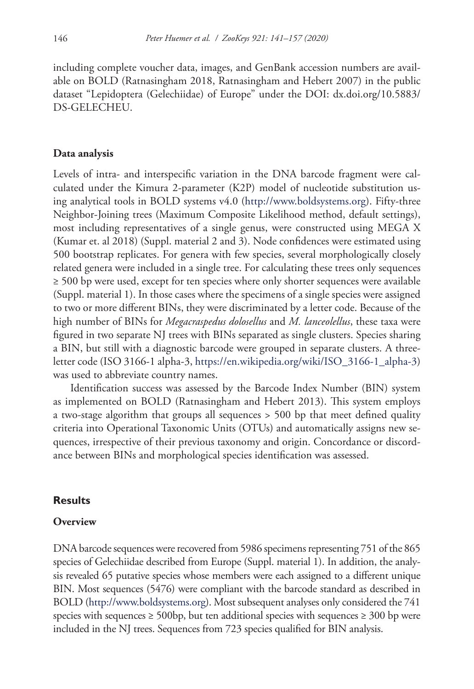including complete voucher data, images, and GenBank accession numbers are available on BOLD (Ratnasingham 2018, Ratnasingham and Hebert 2007) in the public dataset "Lepidoptera (Gelechiidae) of Europe" under the DOI: dx.doi.org/10.5883/ DS-GELECHEU.

#### **Data analysis**

Levels of intra- and interspecific variation in the DNA barcode fragment were calculated under the Kimura 2-parameter (K2P) model of nucleotide substitution using analytical tools in BOLD systems v4.0 (<http://www.boldsystems.org>). Fifty-three Neighbor-Joining trees (Maximum Composite Likelihood method, default settings), most including representatives of a single genus, were constructed using MEGA X (Kumar et. al 2018) (Suppl. material 2 and 3). Node confidences were estimated using 500 bootstrap replicates. For genera with few species, several morphologically closely related genera were included in a single tree. For calculating these trees only sequences ≥ 500 bp were used, except for ten species where only shorter sequences were available (Suppl. material 1). In those cases where the specimens of a single species were assigned to two or more different BINs, they were discriminated by a letter code. Because of the high number of BINs for *Megacraspedus dolosellus* and *M. lanceolellus*, these taxa were figured in two separate NJ trees with BINs separated as single clusters. Species sharing a BIN, but still with a diagnostic barcode were grouped in separate clusters. A threeletter code (ISO 3166-1 alpha-3, [https://en.wikipedia.org/wiki/ISO\\_3166-1\\_alpha-3\)](https://en.wikipedia.org/wiki/ISO_3166-1_alpha-3) was used to abbreviate country names.

Identification success was assessed by the Barcode Index Number (BIN) system as implemented on BOLD (Ratnasingham and Hebert 2013). This system employs a two-stage algorithm that groups all sequences > 500 bp that meet defined quality criteria into Operational Taxonomic Units (OTUs) and automatically assigns new sequences, irrespective of their previous taxonomy and origin. Concordance or discordance between BINs and morphological species identification was assessed.

#### **Results**

#### **Overview**

DNA barcode sequences were recovered from 5986 specimens representing 751 of the 865 species of Gelechiidae described from Europe (Suppl. material 1). In addition, the analysis revealed 65 putative species whose members were each assigned to a different unique BIN. Most sequences (5476) were compliant with the barcode standard as described in BOLD ([http://www.boldsystems.org\)](http://www.boldsystems.org). Most subsequent analyses only considered the 741 species with sequences  $\geq 500$ bp, but ten additional species with sequences  $\geq 300$  bp were included in the NJ trees. Sequences from 723 species qualified for BIN analysis.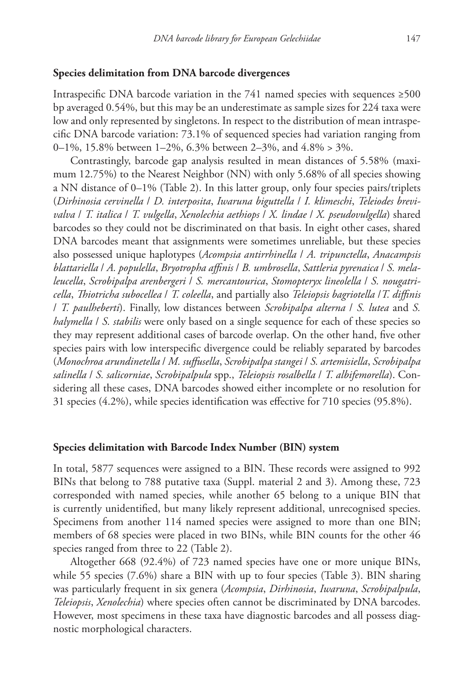#### **Species delimitation from DNA barcode divergences**

Intraspecific DNA barcode variation in the 741 named species with sequences ≥500 bp averaged 0.54%, but this may be an underestimate as sample sizes for 224 taxa were low and only represented by singletons. In respect to the distribution of mean intraspecific DNA barcode variation: 73.1% of sequenced species had variation ranging from 0–1%, 15.8% between 1–2%, 6.3% between 2–3%, and 4.8% > 3%.

Contrastingly, barcode gap analysis resulted in mean distances of 5.58% (maximum 12.75%) to the Nearest Neighbor (NN) with only 5.68% of all species showing a NN distance of 0–1% (Table 2). In this latter group, only four species pairs/triplets (*Dirhinosia cervinella* / *D. interposita*, *Iwaruna biguttella* / *I. klimeschi*, *Teleiodes brevivalva* / *T. italica* / *T. vulgella*, *Xenolechia aethiops* / *X. lindae* / *X. pseudovulgella*) shared barcodes so they could not be discriminated on that basis. In eight other cases, shared DNA barcodes meant that assignments were sometimes unreliable, but these species also possessed unique haplotypes (*Acompsia antirrhinella* / *A. tripunctella*, *Anacampsis blattariella* / *A. populella*, *Bryotropha affinis* / *B. umbrosella*, *Sattleria pyrenaica* / *S. melaleucella*, *Scrobipalpa arenbergeri* / *S. mercantourica*, *Stomopteryx lineolella* / *S. nougatricella*, *Thiotricha subocellea* / *T. coleella*, and partially also *Teleiopsis bagriotella* /*T. diffinis* / *T. paulheberti*). Finally, low distances between *Scrobipalpa alterna* / *S. lutea* and *S. halymella* / *S. stabilis* were only based on a single sequence for each of these species so they may represent additional cases of barcode overlap. On the other hand, five other species pairs with low interspecific divergence could be reliably separated by barcodes (*Monochroa arundinetella* / *M. suffusella*, *Scrobipalpa stangei* / *S. artemisiella*, *Scrobipalpa salinella* / *S. salicorniae*, *Scrobipalpula* spp., *Teleiopsis rosalbella* / *T. albifemorella*). Considering all these cases, DNA barcodes showed either incomplete or no resolution for 31 species (4.2%), while species identification was effective for 710 species (95.8%).

#### **Species delimitation with Barcode Index Number (BIN) system**

In total, 5877 sequences were assigned to a BIN. These records were assigned to 992 BINs that belong to 788 putative taxa (Suppl. material 2 and 3). Among these, 723 corresponded with named species, while another 65 belong to a unique BIN that is currently unidentified, but many likely represent additional, unrecognised species. Specimens from another 114 named species were assigned to more than one BIN; members of 68 species were placed in two BINs, while BIN counts for the other 46 species ranged from three to 22 (Table 2).

Altogether 668 (92.4%) of 723 named species have one or more unique BINs, while 55 species (7.6%) share a BIN with up to four species (Table 3). BIN sharing was particularly frequent in six genera (*Acompsia*, *Dirhinosia*, *Iwaruna*, *Scrobipalpula*, *Teleiopsis*, *Xenolechia*) where species often cannot be discriminated by DNA barcodes. However, most specimens in these taxa have diagnostic barcodes and all possess diagnostic morphological characters.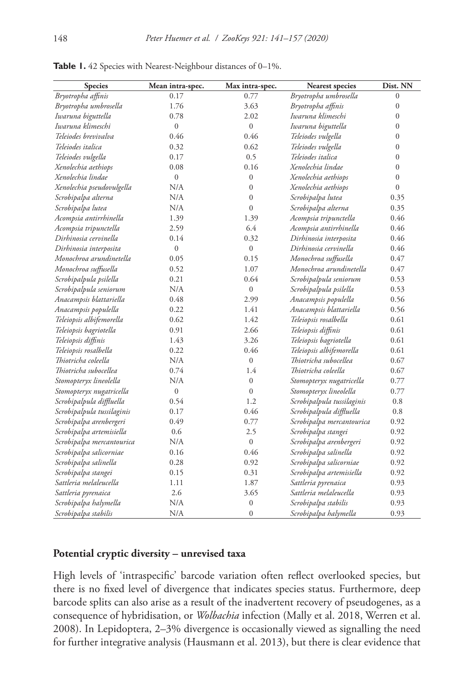| Species                    | Mean intra-spec. | Max intra-spec.  | Nearest species            | Dist. NN         |
|----------------------------|------------------|------------------|----------------------------|------------------|
| Bryotropha affinis         | 0.17             | 0.77             | Bryotropha umbrosella      | $\boldsymbol{0}$ |
| Bryotropha umbrosella      | 1.76             | 3.63             | Bryotropha affinis         | $\boldsymbol{0}$ |
| Iwaruna biguttella         | 0.78             | 2.02             | Iwaruna klimeschi          | $\mathbf{0}$     |
| Iwaruna klimeschi          | $\boldsymbol{0}$ | $\overline{0}$   | Iwaruna biguttella         | $\boldsymbol{0}$ |
| Teleiodes brevivalva       | 0.46             | 0.46             | Teleiodes vulgella         | $\boldsymbol{0}$ |
| Teleiodes italica          | 0.32             | 0.62             | Teleiodes vulgella         | $\boldsymbol{0}$ |
| Teleiodes vulgella         | 0.17             | 0.5              | Teleiodes italica          | $\boldsymbol{0}$ |
| Xenolechia aethiops        | 0.08             | 0.16             | Xenolechia lindae          | $\boldsymbol{0}$ |
| Xenolechia lindae          | $\boldsymbol{0}$ | $\boldsymbol{0}$ | Xenolechia aethiops        | $\boldsymbol{0}$ |
| Xenolechia pseudovulgella  | N/A              | $\boldsymbol{0}$ | Xenolechia aethiops        | $\boldsymbol{0}$ |
| Scrobipalpa alterna        | N/A              | $\boldsymbol{0}$ | Scrobipalpa lutea          | 0.35             |
| Scrobipalpa lutea          | N/A              | $\overline{0}$   | Scrobipalpa alterna        | 0.35             |
| Acompsia antirrhinella     | 1.39             | 1.39             | Acompsia tripunctella      | 0.46             |
| Acompsia tripunctella      | 2.59             | 6.4              | Acompsia antirrhinella     | 0.46             |
| Dirhinosia cervinella      | 0.14             | 0.32             | Dirhinosia interposita     | 0.46             |
| Dirhinosia interposita     | $\boldsymbol{0}$ | $\overline{0}$   | Dirhinosia cervinella      | 0.46             |
| Monochroa arundinetella    | 0.05             | 0.15             | Monochroa suffusella       | 0.47             |
| Monochroa suffusella       | 0.52             | 1.07             | Monochroa arundinetella    | 0.47             |
| Scrobipalpula psilella     | 0.21             | 0.64             | Scrobipalpula seniorum     | 0.53             |
| Scrobipalpula seniorum     | N/A              | $\boldsymbol{0}$ | Scrobipalpula psilella     | 0.53             |
| Anacampsis blattariella    | 0.48             | 2.99             | Anacampsis populella       | 0.56             |
| Anacampsis populella       | 0.22             | 1.41             | Anacampsis blattariella    | 0.56             |
| Teleiopsis albifemorella   | 0.62             | 1.42             | Teleiopsis rosalbella      | 0.61             |
| Teleiopsis bagriotella     | 0.91             | 2.66             | Teleiopsis diffinis        | 0.61             |
| Teleiopsis diffinis        | 1.43             | 3.26             | Teleiopsis bagriotella     | 0.61             |
| Teleiopsis rosalbella      | 0.22             | 0.46             | Teleiopsis albifemorella   | 0.61             |
| Thiotricha coleella        | N/A              | $\boldsymbol{0}$ | Thiotricha subocellea      | 0.67             |
| Thiotricha subocellea      | 0.74             | 1.4              | Thiotricha coleella        | 0.67             |
| Stomopteryx lineolella     | N/A              | $\boldsymbol{0}$ | Stomopteryx nugatricella   | 0.77             |
| Stomopteryx nugatricella   | $\boldsymbol{0}$ | $\boldsymbol{0}$ | Stomopteryx lineolella     | 0.77             |
| Scrobipalpula diffluella   | 0.54             | 1.2              | Scrobipalpula tussilaginis | 0.8              |
| Scrobipalpula tussilaginis | 0.17             | 0.46             | Scrobipalpula diffluella   | 0.8              |
| Scrobipalpa arenbergeri    | 0.49             | 0.77             | Scrobipalpa mercantourica  | 0.92             |
| Scrobipalpa artemisiella   | 0.6              | 2.5              | Scrobipalpa stangei        | 0.92             |
| Scrobipalpa mercantourica  | N/A              | $\boldsymbol{0}$ | Scrobipalpa arenbergeri    | 0.92             |
| Scrobipalpa salicorniae    | 0.16             | 0.46             | Scrobipalpa salinella      | 0.92             |
| Scrobipalpa salinella      | 0.28             | 0.92             | Scrobipalpa salicorniae    | 0.92             |
| Scrobipalpa stangei        | 0.15             | 0.31             | Scrobipalpa artemisiella   | 0.92             |
| Sattleria melaleucella     | 1.11             | 1.87             | Sattleria pyrenaica        | 0.93             |
| Sattleria pyrenaica        | 2.6              | 3.65             | Sattleria melaleucella     | 0.93             |
| Scrobipalpa halymella      | N/A              | $\boldsymbol{0}$ | Scrobipalpa stabilis       | 0.93             |
| Scrobipalpa stabilis       | N/A              | $\overline{0}$   | Scrobipalpa halymella      | 0.93             |

Table 1. 42 Species with Nearest-Neighbour distances of 0-1%.

#### **Potential cryptic diversity – unrevised taxa**

High levels of 'intraspecific' barcode variation often reflect overlooked species, but there is no fixed level of divergence that indicates species status. Furthermore, deep barcode splits can also arise as a result of the inadvertent recovery of pseudogenes, as a consequence of hybridisation, or *Wolbachia* infection (Mally et al. 2018, Werren et al. 2008). In Lepidoptera, 2–3% divergence is occasionally viewed as signalling the need for further integrative analysis (Hausmann et al. 2013), but there is clear evidence that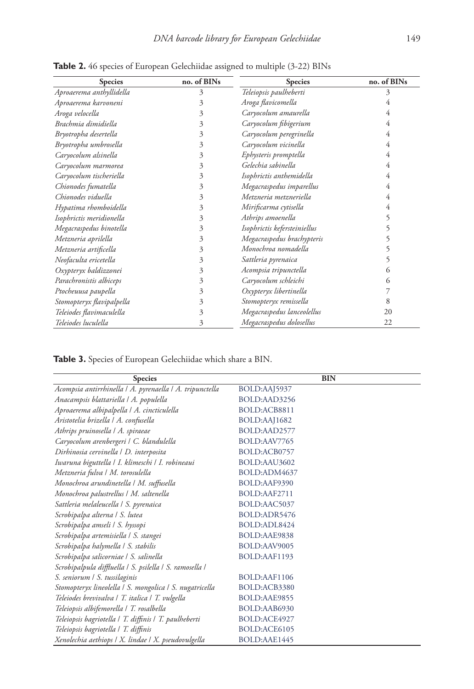| <b>Species</b>            | no. of BINs | <b>Species</b>               | no. of BINs |
|---------------------------|-------------|------------------------------|-------------|
| Aproaerema anthyllidella  | 3           | Teleiopsis paulheberti       | 3           |
| Aproaerema karvoneni      | 3           | Aroga flavicomella           | 4           |
| Aroga velocella           | 3           | Caryocolum amaurella         | 4           |
| Brachmia dimidiella       | 3           | Caryocolum fibigerium        | 4           |
| Bryotropha desertella     | 3           | Caryocolum peregrinella      | 4           |
| Bryotropha umbrosella     | 3           | Caryocolum vicinella         | 4           |
| Caryocolum alsinella      | 3           | Ephysteris promptella        | 4           |
| Caryocolum marmorea       | 3           | Gelechia sabinella           | 4           |
| Caryocolum tischeriella   | 3           | Isophrictis anthemidella     | 4           |
| Chionodes fumatella       | 3           | Megacraspedus imparellus     | 4           |
| Chionodes viduella        | 3           | Metzneria metzneriella       | 4           |
| Hypatima rhomboidella     | 3           | Mirificarma cytisella        | 4           |
| Isophrictis meridionella  | 3           | Athrips amoenella            | 5           |
| Megacraspedus binotella   | 3           | Isophrictis kefersteiniellus | 5           |
| Metzneria aprilella       | 3           | Megacraspedus brachypteris   | 5           |
| Metzneria artificella     | 3           | Monochroa nomadella          | 5           |
| Neofaculta ericetella     | 3           | Sattleria pyrenaica          | 5           |
| Oxypteryx baldizzonei     | 3           | Acompsia tripunctella        | 6           |
| Parachronistis albiceps   | 3           | Caryocolum schleichi         | 6           |
| Ptocheuusa paupella       | 3           | Oxypteryx libertinella       |             |
| Stomopteryx flavipalpella | 3           | Stomopteryx remissella       | 8           |
| Teleiodes flavimaculella  | 3           | Megacraspedus lanceolellus   | 20          |
| Teleiodes luculella       | 3           | Megacraspedus dolosellus     | 22          |

Table 2. 46 species of European Gelechiidae assigned to multiple (3-22) BINs

**Table 3.** Species of European Gelechiidae which share a BIN.

| <b>Species</b>                                           | <b>BIN</b>   |
|----------------------------------------------------------|--------------|
| Acompsia antirrhinella   A. pyrenaella   A. tripunctella | BOLD:AAJ5937 |
| Anacampsis blattariella   A. populella                   | BOLD:AAD3256 |
| Aproaerema albipalpella   A. cincticulella               | BOLD:ACB8811 |
| Aristotelia brizella   A. confusella                     | BOLD:AAJ1682 |
| Athrips pruinosella   A. spiraeae                        | BOLD:AAD2577 |
| Caryocolum arenbergeri   C. blandulella                  | BOLD:AAV7765 |
| Dirhinosia cervinella   D. interposita                   | BOLD:ACB0757 |
| Iwaruna biguttella   I. klimeschi   I. robineaui         | BOLD:AAU3602 |
| Metzneria fulva   M. torosulella                         | BOLD:ADM4637 |
| Monochroa arundinetella   M. suffusella                  | BOLD:AAF9390 |
| Monochroa palustrellus   M. saltenella                   | BOLD:AAF2711 |
| Sattleria melaleucella   S. pyrenaica                    | BOLD:AAC5037 |
| Scrobipalpa alterna   S. lutea                           | BOLD:ADR5476 |
| Scrobipalpa amseli / S. hyssopi                          | BOLD:ADL8424 |
| Scrobipalpa artemisiella   S. stangei                    | BOLD:AAE9838 |
| Scrobipalpa halymella   S. stabilis                      | BOLD:AAV9005 |
| Scrobipalpa salicorniae   S. salinella                   | BOLD:AAF1193 |
| Scrobipalpula diffluella   S. psilella   S. ramosella    |              |
| S. seniorum / S. tussilaginis                            | BOLD:AAF1106 |
| Stomopteryx lineolella   S. mongolica   S. nugatricella  | BOLD:ACB3380 |
| Teleiodes brevivalva   T. italica   T. vulgella          | BOLD:AAE9855 |
| Teleiopsis albifemorella   T. rosalbella                 | BOLD:AAB6930 |
| Teleiopsis bagriotella   T. diffinis   T. paulheberti    | BOLD:ACE4927 |
| Teleiopsis bagriotella   T. diffinis                     | BOLD:ACE6105 |
| Xenolechia aethiops   X. lindae   X. pseudovulgella      | BOLD:AAE1445 |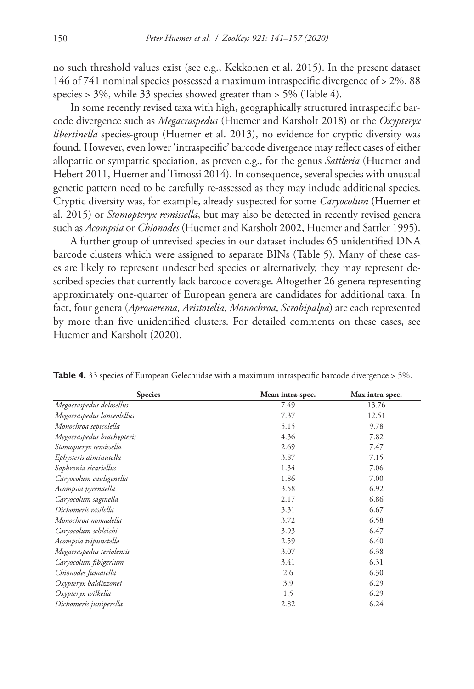no such threshold values exist (see e.g., Kekkonen et al. 2015). In the present dataset 146 of 741 nominal species possessed a maximum intraspecific divergence of > 2%, 88 species > 3%, while 33 species showed greater than > 5% (Table 4).

In some recently revised taxa with high, geographically structured intraspecific barcode divergence such as *Megacraspedus* (Huemer and Karsholt 2018) or the *Oxypteryx libertinella* species-group (Huemer et al. 2013), no evidence for cryptic diversity was found. However, even lower 'intraspecific' barcode divergence may reflect cases of either allopatric or sympatric speciation, as proven e.g., for the genus *Sattleria* (Huemer and Hebert 2011, Huemer and Timossi 2014). In consequence, several species with unusual genetic pattern need to be carefully re-assessed as they may include additional species. Cryptic diversity was, for example, already suspected for some *Caryocolum* (Huemer et al. 2015) or *Stomopteryx remissella*, but may also be detected in recently revised genera such as *Acompsia* or *Chionodes* (Huemer and Karsholt 2002, Huemer and Sattler 1995).

A further group of unrevised species in our dataset includes 65 unidentified DNA barcode clusters which were assigned to separate BINs (Table 5). Many of these cases are likely to represent undescribed species or alternatively, they may represent described species that currently lack barcode coverage. Altogether 26 genera representing approximately one-quarter of European genera are candidates for additional taxa. In fact, four genera (*Aproaerema*, *Aristotelia*, *Monochroa*, *Scrobipalpa*) are each represented by more than five unidentified clusters. For detailed comments on these cases, see Huemer and Karsholt (2020).

| <b>Species</b>             | Mean intra-spec. | Max intra-spec. |
|----------------------------|------------------|-----------------|
| Megacraspedus dolosellus   | 7.49             | 13.76           |
| Megacraspedus lanceolellus | 7.37             | 12.51           |
| Monochroa sepicolella      | 5.15             | 9.78            |
| Megacraspedus brachypteris | 4.36             | 7.82            |
| Stomopteryx remissella     | 2.69             | 7.47            |
| Ephysteris diminutella     | 3.87             | 7.15            |
| Sophronia sicariellus      | 1.34             | 7.06            |
| Caryocolum cauligenella    | 1.86             | 7.00            |
| Acompsia pyrenaella        | 3.58             | 6.92            |
| Caryocolum saginella       | 2.17             | 6.86            |
| Dichomeris rasilella       | 3.31             | 6.67            |
| Monochroa nomadella        | 3.72             | 6.58            |
| Caryocolum schleichi       | 3.93             | 6.47            |
| Acompsia tripunctella      | 2.59             | 6.40            |
| Megacraspedus teriolensis  | 3.07             | 6.38            |
| Caryocolum fibigerium      | 3.41             | 6.31            |
| Chionodes fumatella        | 2.6              | 6.30            |
| Oxypteryx baldizzonei      | 3.9              | 6.29            |
| Oxypteryx wilkella         | 1.5              | 6.29            |
| Dichomeris juniperella     | 2.82             | 6.24            |

**Table 4.** 33 species of European Gelechiidae with a maximum intraspecific barcode divergence > 5%.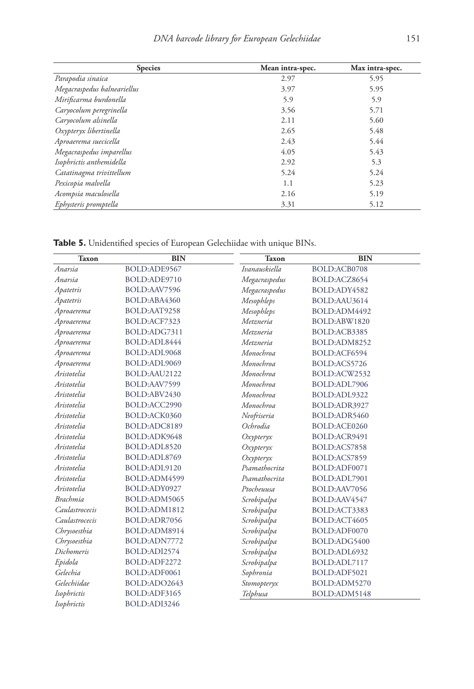| <b>Species</b>              | Mean intra-spec. | Max intra-spec. |
|-----------------------------|------------------|-----------------|
| Parapodia sinaica           | 2.97             | 5.95            |
| Megacraspedus balneariellus | 3.97             | 5.95            |
| Mirificarma burdonella      | 5.9              | 5.9             |
| Caryocolum peregrinella     | 3.56             | 5.71            |
| Caryocolum alsinella        | 2.11             | 5.60            |
| Oxypteryx libertinella      | 2.65             | 5.48            |
| Aproaerema suecicella       | 2.43             | 5.44            |
| Megacraspedus imparellus    | 4.05             | 5.43            |
| Isophrictis anthemidella    | 2.92             | 5.3             |
| Catatinagma trivittellum    | 5.24             | 5.24            |
| Pexicopia malvella          | 1.1              | 5.23            |
| Acompsia maculosella        | 2.16             | 5.19            |
| Ephysteris promptella       | 3.31             | 5.12            |

**Table 5.** Unidentified species of European Gelechiidae with unique BINs.

| <b>Taxon</b>    | <b>BIN</b>   | <b>Taxon</b>        | <b>BIN</b>   |
|-----------------|--------------|---------------------|--------------|
| Anarsia         | BOLD:ADE9567 | Ivanauskiella       | BOLD:ACB0708 |
| Anarsia         | BOLD:ADE9710 | Megacraspedus       | BOLD:ACZ8654 |
| Apatetris       | BOLD:AAV7596 | Megacraspedus       | BOLD:ADY4582 |
| Apatetris       | BOLD:ABA4360 | Mesophleps          | BOLD:AAU3614 |
| Aproaerema      | BOLD:AAT9258 | Mesophleps          | BOLD:ADM4492 |
| Aproaerema      | BOLD:ACF7323 | Metzneria           | BOLD:ABW1820 |
| Aproaerema      | BOLD:ADG7311 | Metzneria           | BOLD:ACB3385 |
| Aproaerema      | BOLD:ADL8444 | Metzneria           | BOLD:ADM8252 |
| Aproaerema      | BOLD:ADL9068 | Monochroa           | BOLD:ACF6594 |
| Aproaerema      | BOLD:ADL9069 | Monochroa           | BOLD:ACS5726 |
| Aristotelia     | BOLD:AAU2122 | Monochroa           | BOLD:ACW2532 |
| Aristotelia     | BOLD:AAV7599 | Monochroa           | BOLD:ADL7906 |
| Aristotelia     | BOLD:ABV2430 | Monochroa           | BOLD:ADL9322 |
| Aristotelia     | BOLD:ACC2990 | Monochroa           | BOLD:ADR3927 |
| Aristotelia     | BOLD:ACK0360 | Neofriseria         | BOLD:ADR5460 |
| Aristotelia     | BOLD:ADC8189 | Ochrodia            | BOLD:ACE0260 |
| Aristotelia     | BOLD:ADK9648 | $O$ <i>xypteryx</i> | BOLD:ACR9491 |
| Aristotelia     | BOLD:ADL8520 | $O$ xypteryx        | BOLD:ACS7858 |
| Aristotelia     | BOLD:ADL8769 | $O$ xypteryx        | BOLD:ACS7859 |
| Aristotelia     | BOLD:ADL9120 | Psamathocrita       | BOLD:ADF0071 |
| Aristotelia     | BOLD:ADM4599 | Psamathocrita       | BOLD:ADL7901 |
| Aristotelia     | BOLD:ADY0927 | Ptocheuusa          | BOLD:AAV7056 |
| <b>Brachmia</b> | BOLD:ADM5065 | Scrobipalpa         | BOLD:AAV4547 |
| Caulastrocecis  | BOLD:ADM1812 | Scrobipalpa         | BOLD:ACT3383 |
| Caulastrocecis  | BOLD:ADR7056 | Scrobipalpa         | BOLD:ACT4605 |
| Chrysoesthia    | BOLD:ADM8914 | Scrobipalpa         | BOLD:ADF0070 |
| Chrysoesthia    | BOLD:ADN7772 | Scrobipalpa         | BOLD:ADG5400 |
| Dichomeris      | BOLD:ADI2574 | Scrobipalpa         | BOLD:ADL6932 |
| Epidola         | BOLD:ADF2272 | Scrobipalpa         | BOLD:ADL7117 |
| Gelechia        | BOLD:ADF0061 | Sophronia           | BOLD:ADF5021 |
| Gelechiidae     | BOLD:ADO2643 | Stomopteryx         | BOLD:ADM5270 |
| Isophrictis     | BOLD:ADF3165 | Telphusa            | BOLD:ADM5148 |
| Isophrictis     | BOLD:ADI3246 |                     |              |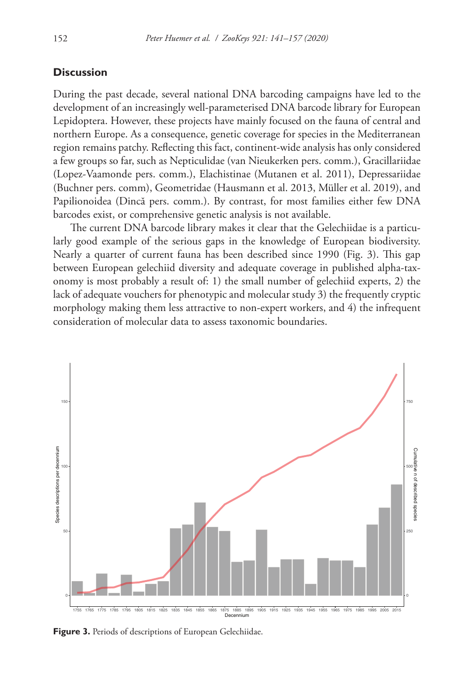#### **Discussion**

During the past decade, several national DNA barcoding campaigns have led to the development of an increasingly well-parameterised DNA barcode library for European Lepidoptera. However, these projects have mainly focused on the fauna of central and northern Europe. As a consequence, genetic coverage for species in the Mediterranean region remains patchy. Reflecting this fact, continent-wide analysis has only considered a few groups so far, such as Nepticulidae (van Nieukerken pers. comm.), Gracillariidae (Lopez-Vaamonde pers. comm.), Elachistinae (Mutanen et al. 2011), Depressariidae (Buchner pers. comm), Geometridae (Hausmann et al. 2013, Müller et al. 2019), and Papilionoidea (Dincă pers. comm.). By contrast, for most families either few DNA barcodes exist, or comprehensive genetic analysis is not available.

The current DNA barcode library makes it clear that the Gelechiidae is a particularly good example of the serious gaps in the knowledge of European biodiversity. Nearly a quarter of current fauna has been described since 1990 (Fig. 3). This gap between European gelechiid diversity and adequate coverage in published alpha-taxonomy is most probably a result of: 1) the small number of gelechiid experts, 2) the lack of adequate vouchers for phenotypic and molecular study 3) the frequently cryptic morphology making them less attractive to non-expert workers, and 4) the infrequent consideration of molecular data to assess taxonomic boundaries.



**Figure 3.** Periods of descriptions of European Gelechiidae.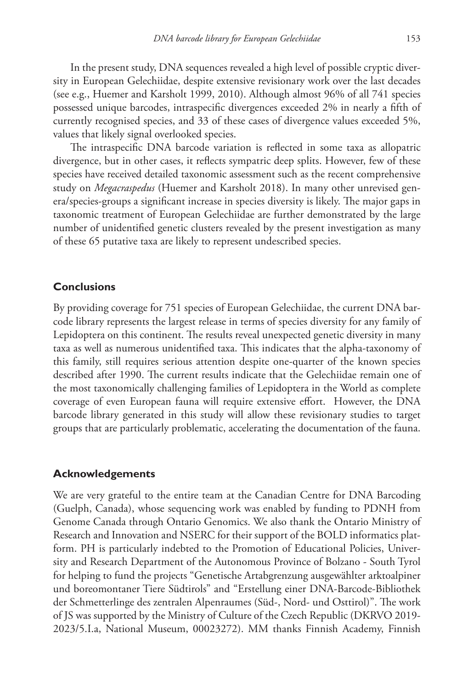In the present study, DNA sequences revealed a high level of possible cryptic diversity in European Gelechiidae, despite extensive revisionary work over the last decades (see e.g., Huemer and Karsholt 1999, 2010). Although almost 96% of all 741 species possessed unique barcodes, intraspecific divergences exceeded 2% in nearly a fifth of currently recognised species, and 33 of these cases of divergence values exceeded 5%, values that likely signal overlooked species.

The intraspecific DNA barcode variation is reflected in some taxa as allopatric divergence, but in other cases, it reflects sympatric deep splits. However, few of these species have received detailed taxonomic assessment such as the recent comprehensive study on *Megacraspedus* (Huemer and Karsholt 2018). In many other unrevised genera/species-groups a significant increase in species diversity is likely. The major gaps in taxonomic treatment of European Gelechiidae are further demonstrated by the large number of unidentified genetic clusters revealed by the present investigation as many of these 65 putative taxa are likely to represent undescribed species.

### **Conclusions**

By providing coverage for 751 species of European Gelechiidae, the current DNA barcode library represents the largest release in terms of species diversity for any family of Lepidoptera on this continent. The results reveal unexpected genetic diversity in many taxa as well as numerous unidentified taxa. This indicates that the alpha-taxonomy of this family, still requires serious attention despite one-quarter of the known species described after 1990. The current results indicate that the Gelechiidae remain one of the most taxonomically challenging families of Lepidoptera in the World as complete coverage of even European fauna will require extensive effort. However, the DNA barcode library generated in this study will allow these revisionary studies to target groups that are particularly problematic, accelerating the documentation of the fauna.

#### **Acknowledgements**

We are very grateful to the entire team at the Canadian Centre for DNA Barcoding (Guelph, Canada), whose sequencing work was enabled by funding to PDNH from Genome Canada through Ontario Genomics. We also thank the Ontario Ministry of Research and Innovation and NSERC for their support of the BOLD informatics platform. PH is particularly indebted to the Promotion of Educational Policies, University and Research Department of the Autonomous Province of Bolzano - South Tyrol for helping to fund the projects "Genetische Artabgrenzung ausgewählter arktoalpiner und boreomontaner Tiere Südtirols" and "Erstellung einer DNA-Barcode-Bibliothek der Schmetterlinge des zentralen Alpenraumes (Süd-, Nord- und Osttirol)". The work of JS was supported by the Ministry of Culture of the Czech Republic (DKRVO 2019- 2023/5.I.a, National Museum, 00023272). MM thanks Finnish Academy, Finnish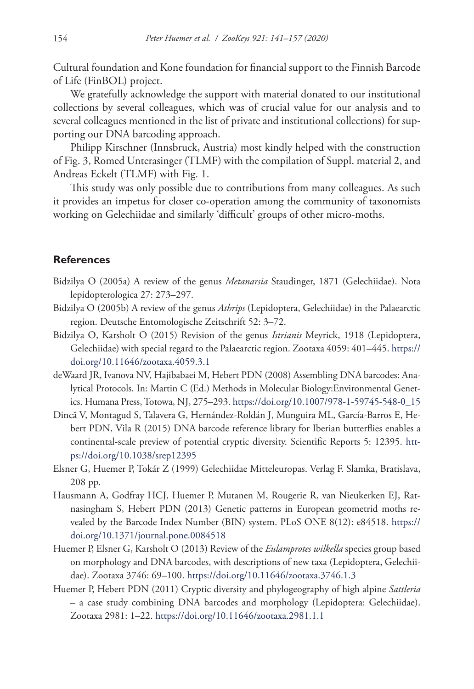Cultural foundation and Kone foundation for financial support to the Finnish Barcode of Life (FinBOL) project.

We gratefully acknowledge the support with material donated to our institutional collections by several colleagues, which was of crucial value for our analysis and to several colleagues mentioned in the list of private and institutional collections) for supporting our DNA barcoding approach.

Philipp Kirschner (Innsbruck, Austria) most kindly helped with the construction of Fig. 3, Romed Unterasinger (TLMF) with the compilation of Suppl. material 2, and Andreas Eckelt (TLMF) with Fig. 1.

This study was only possible due to contributions from many colleagues. As such it provides an impetus for closer co-operation among the community of taxonomists working on Gelechiidae and similarly 'difficult' groups of other micro-moths.

### **References**

- Bidzilya O (2005a) A review of the genus *Metanarsia* Staudinger, 1871 (Gelechiidae). Nota lepidopterologica 27: 273–297.
- Bidzilya O (2005b) A review of the genus *Athrips* (Lepidoptera, Gelechiidae) in the Palaearctic region. Deutsche Entomologische Zeitschrift 52: 3–72.
- Bidzilya O, Karsholt O (2015) Revision of the genus *Istrianis* Meyrick, 1918 (Lepidoptera, Gelechiidae) with special regard to the Palaearctic region. Zootaxa 4059: 401–445. [https://](https://doi.org/10.11646/zootaxa.4059.3.1) [doi.org/10.11646/zootaxa.4059.3.1](https://doi.org/10.11646/zootaxa.4059.3.1)
- deWaard JR, Ivanova NV, Hajibabaei M, Hebert PDN (2008) Assembling DNA barcodes: Analytical Protocols. In: Martin C (Ed.) Methods in Molecular Biology:Environmental Genetics. Humana Press, Totowa, NJ, 275–293. [https://doi.org/10.1007/978-1-59745-548-0\\_15](https://doi.org/10.1007/978-1-59745-548-0_15)
- Dincă V, Montagud S, Talavera G, Hernández-Roldán J, Munguira ML, García-Barros E, Hebert PDN, Vila R (2015) DNA barcode reference library for Iberian butterflies enables a continental-scale preview of potential cryptic diversity. Scientific Reports 5: 12395. [htt](https://doi.org/10.1038/srep12395)[ps://doi.org/10.1038/srep12395](https://doi.org/10.1038/srep12395)
- Elsner G, Huemer P, Tokár Z (1999) Gelechiidae Mitteleuropas. Verlag F. Slamka, Bratislava, 208 pp.
- Hausmann A, Godfray HCJ, Huemer P, Mutanen M, Rougerie R, van Nieukerken EJ, Ratnasingham S, Hebert PDN (2013) Genetic patterns in European geometrid moths revealed by the Barcode Index Number (BIN) system. PLoS ONE 8(12): e84518. [https://](https://doi.org/10.1371/journal.pone.0084518) [doi.org/10.1371/journal.pone.0084518](https://doi.org/10.1371/journal.pone.0084518)
- Huemer P, Elsner G, Karsholt O (2013) Review of the *Eulamprotes wilkella* species group based on morphology and DNA barcodes, with descriptions of new taxa (Lepidoptera, Gelechiidae). Zootaxa 3746: 69–100. <https://doi.org/10.11646/zootaxa.3746.1.3>
- Huemer P, Hebert PDN (2011) Cryptic diversity and phylogeography of high alpine *Sattleria*  – a case study combining DNA barcodes and morphology (Lepidoptera: Gelechiidae). Zootaxa 2981: 1–22.<https://doi.org/10.11646/zootaxa.2981.1.1>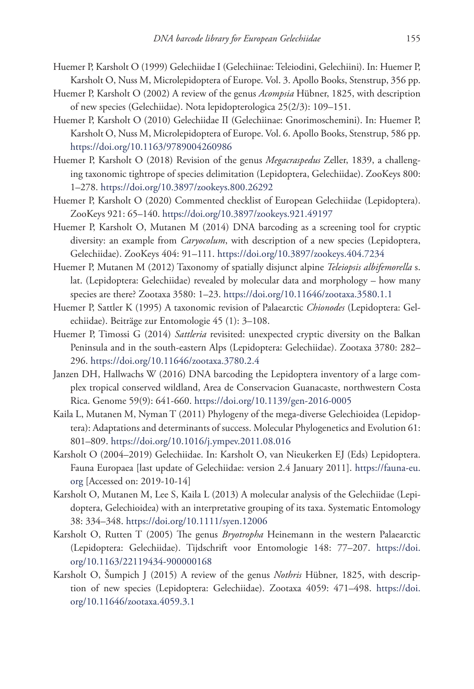- Huemer P, Karsholt O (1999) Gelechiidae I (Gelechiinae: Teleiodini, Gelechiini). In: Huemer P, Karsholt O, Nuss M, Microlepidoptera of Europe. Vol. 3. Apollo Books, Stenstrup, 356 pp.
- Huemer P, Karsholt O (2002) A review of the genus *Acompsia* Hübner, 1825, with description of new species (Gelechiidae). Nota lepidopterologica 25(2/3): 109–151.
- Huemer P, Karsholt O (2010) Gelechiidae II (Gelechiinae: Gnorimoschemini). In: Huemer P, Karsholt O, Nuss M, Microlepidoptera of Europe. Vol. 6. Apollo Books, Stenstrup, 586 pp. <https://doi.org/10.1163/9789004260986>
- Huemer P, Karsholt O (2018) Revision of the genus *Megacraspedus* Zeller, 1839, a challenging taxonomic tightrope of species delimitation (Lepidoptera, Gelechiidae). ZooKeys 800: 1–278.<https://doi.org/10.3897/zookeys.800.26292>
- Huemer P, Karsholt O (2020) Commented checklist of European Gelechiidae (Lepidoptera). ZooKeys 921: 65–140.<https://doi.org/10.3897/zookeys.921.49197>
- Huemer P, Karsholt O, Mutanen M (2014) DNA barcoding as a screening tool for cryptic diversity: an example from *Caryocolum*, with description of a new species (Lepidoptera, Gelechiidae). ZooKeys 404: 91–111. <https://doi.org/10.3897/zookeys.404.7234>
- Huemer P, Mutanen M (2012) Taxonomy of spatially disjunct alpine *Teleiopsis albifemorella* s. lat. (Lepidoptera: Gelechiidae) revealed by molecular data and morphology – how many species are there? Zootaxa 3580: 1–23. <https://doi.org/10.11646/zootaxa.3580.1.1>
- Huemer P, Sattler K (1995) A taxonomic revision of Palaearctic *Chionodes* (Lepidoptera: Gelechiidae). Beiträge zur Entomologie 45 (1): 3–108.
- Huemer P, Timossi G (2014) *Sattleria* revisited: unexpected cryptic diversity on the Balkan Peninsula and in the south-eastern Alps (Lepidoptera: Gelechiidae). Zootaxa 3780: 282– 296.<https://doi.org/10.11646/zootaxa.3780.2.4>
- Janzen DH, Hallwachs W (2016) DNA barcoding the Lepidoptera inventory of a large complex tropical conserved wildland, Area de Conservacion Guanacaste, northwestern Costa Rica. Genome 59(9): 641-660. <https://doi.org/10.1139/gen-2016-0005>
- Kaila L, Mutanen M, Nyman T (2011) Phylogeny of the mega-diverse Gelechioidea (Lepidoptera): Adaptations and determinants of success. Molecular Phylogenetics and Evolution 61: 801–809.<https://doi.org/10.1016/j.ympev.2011.08.016>
- Karsholt O (2004–2019) Gelechiidae. In: Karsholt O, van Nieukerken EJ (Eds) Lepidoptera. Fauna Europaea [last update of Gelechiidae: version 2.4 January 2011]. [https://fauna-eu.](https://fauna-eu.org) [org](https://fauna-eu.org) [Accessed on: 2019-10-14]
- Karsholt O, Mutanen M, Lee S, Kaila L (2013) A molecular analysis of the Gelechiidae (Lepidoptera, Gelechioidea) with an interpretative grouping of its taxa. Systematic Entomology 38: 334–348.<https://doi.org/10.1111/syen.12006>
- Karsholt O, Rutten T (2005) The genus *Bryotropha* Heinemann in the western Palaearctic (Lepidoptera: Gelechiidae). Tijdschrift voor Entomologie 148: 77–207. [https://doi.](https://doi.org/10.1163/22119434-900000168) [org/10.1163/22119434-900000168](https://doi.org/10.1163/22119434-900000168)
- Karsholt O, Šumpich J (2015) A review of the genus *Nothris* Hübner, 1825, with description of new species (Lepidoptera: Gelechiidae). Zootaxa 4059: 471–498. [https://doi.](https://doi.org/10.11646/zootaxa.4059.3.1) [org/10.11646/zootaxa.4059.3.1](https://doi.org/10.11646/zootaxa.4059.3.1)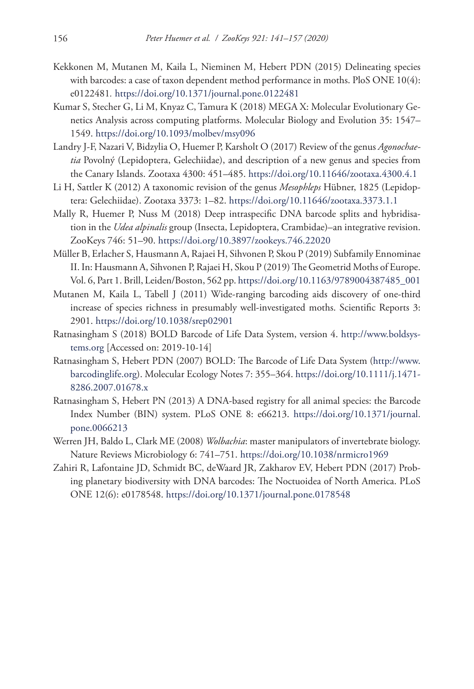- Kekkonen M, Mutanen M, Kaila L, Nieminen M, Hebert PDN (2015) Delineating species with barcodes: a case of taxon dependent method performance in moths. PloS ONE 10(4): e0122481*.* <https://doi.org/10.1371/journal.pone.0122481>
- Kumar S, Stecher G, Li M, Knyaz C, Tamura K (2018) MEGA X: Molecular Evolutionary Genetics Analysis across computing platforms. Molecular Biology and Evolution 35: 1547– 1549.<https://doi.org/10.1093/molbev/msy096>
- Landry J-F, Nazari V, Bidzylia O, Huemer P, Karsholt O (2017) Review of the genus *Agonochaetia* Povolný (Lepidoptera, Gelechiidae), and description of a new genus and species from the Canary Islands. Zootaxa 4300: 451–485.<https://doi.org/10.11646/zootaxa.4300.4.1>
- Li H, Sattler K (2012) A taxonomic revision of the genus *Mesophleps* Hübner, 1825 (Lepidoptera: Gelechiidae). Zootaxa 3373: 1–82.<https://doi.org/10.11646/zootaxa.3373.1.1>
- Mally R, Huemer P, Nuss M (2018) Deep intraspecific DNA barcode splits and hybridisation in the *Udea alpinalis* group (Insecta, Lepidoptera, Crambidae)–an integrative revision. ZooKeys 746: 51–90.<https://doi.org/10.3897/zookeys.746.22020>
- Müller B, Erlacher S, Hausmann A, Rajaei H, Sihvonen P, Skou P (2019) Subfamily Ennominae II. In: Hausmann A, Sihvonen P, Rajaei H, Skou P (2019) The Geometrid Moths of Europe. Vol. 6, Part 1. Brill, Leiden/Boston, 562 pp. [https://doi.org/10.1163/9789004387485\\_001](https://doi.org/10.1163/9789004387485_001)
- Mutanen M, Kaila L, Tabell J (2011) Wide-ranging barcoding aids discovery of one-third increase of species richness in presumably well-investigated moths. Scientific Reports 3: 2901.<https://doi.org/10.1038/srep02901>
- Ratnasingham S (2018) BOLD Barcode of Life Data System, version 4. [http://www.boldsys](http://www.boldsystems.org)[tems.org](http://www.boldsystems.org) [Accessed on: 2019-10-14]
- Ratnasingham S, Hebert PDN (2007) BOLD: The Barcode of Life Data System [\(http://www.](http://www.barcodinglife.org) [barcodinglife.org](http://www.barcodinglife.org)). Molecular Ecology Notes 7: 355–364. [https://doi.org/10.1111/j.1471-](https://doi.org/10.1111/j.1471-8286.2007.01678.x) [8286.2007.01678.x](https://doi.org/10.1111/j.1471-8286.2007.01678.x)
- Ratnasingham S, Hebert PN (2013) A DNA-based registry for all animal species: the Barcode Index Number (BIN) system. PLoS ONE 8: e66213. [https://doi.org/10.1371/journal.](https://doi.org/10.1371/journal.pone.0066213) [pone.0066213](https://doi.org/10.1371/journal.pone.0066213)
- Werren JH, Baldo L, Clark ME (2008) *Wolbachia*: master manipulators of invertebrate biology. Nature Reviews Microbiology 6: 741–751.<https://doi.org/10.1038/nrmicro1969>
- Zahiri R, Lafontaine JD, Schmidt BC, deWaard JR, Zakharov EV, Hebert PDN (2017) Probing planetary biodiversity with DNA barcodes: The Noctuoidea of North America. PLoS ONE 12(6): e0178548. <https://doi.org/10.1371/journal.pone.0178548>